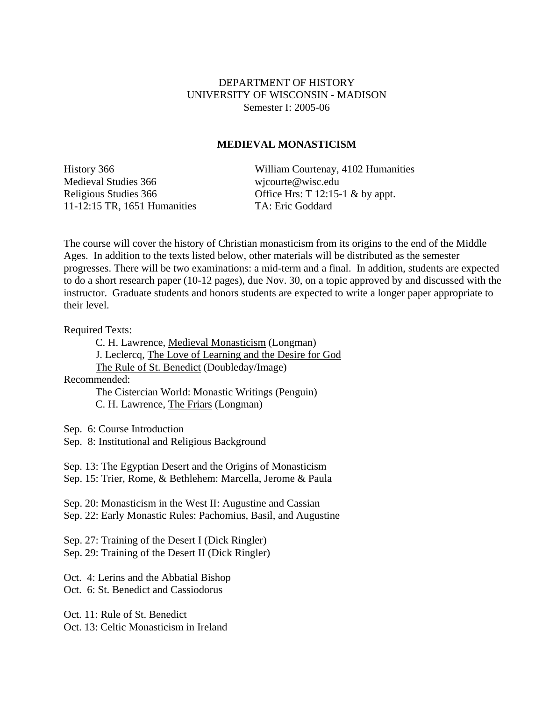## DEPARTMENT OF HISTORY UNIVERSITY OF WISCONSIN - MADISON Semester I: 2005-06

## **MEDIEVAL MONASTICISM**

Medieval Studies 366 wicourte@wisc.edu 11-12:15 TR, 1651 Humanities TA: Eric Goddard

History 366 William Courtenay, 4102 Humanities Religious Studies 366 Office Hrs: T 12:15-1 & by appt.

The course will cover the history of Christian monasticism from its origins to the end of the Middle Ages. In addition to the texts listed below, other materials will be distributed as the semester progresses. There will be two examinations: a mid-term and a final. In addition, students are expected to do a short research paper (10-12 pages), due Nov. 30, on a topic approved by and discussed with the instructor. Graduate students and honors students are expected to write a longer paper appropriate to their level.

Required Texts:

 C. H. Lawrence, Medieval Monasticism (Longman) J. Leclercq, The Love of Learning and the Desire for God The Rule of St. Benedict (Doubleday/Image) Recommended: The Cistercian World: Monastic Writings (Penguin)

C. H. Lawrence, The Friars (Longman)

Sep. 6: Course Introduction

Sep. 8: Institutional and Religious Background

Sep. 13: The Egyptian Desert and the Origins of Monasticism

Sep. 15: Trier, Rome, & Bethlehem: Marcella, Jerome & Paula

Sep. 20: Monasticism in the West II: Augustine and Cassian Sep. 22: Early Monastic Rules: Pachomius, Basil, and Augustine

Sep. 27: Training of the Desert I (Dick Ringler)

Sep. 29: Training of the Desert II (Dick Ringler)

Oct. 4: Lerins and the Abbatial Bishop Oct. 6: St. Benedict and Cassiodorus

Oct. 11: Rule of St. Benedict

Oct. 13: Celtic Monasticism in Ireland